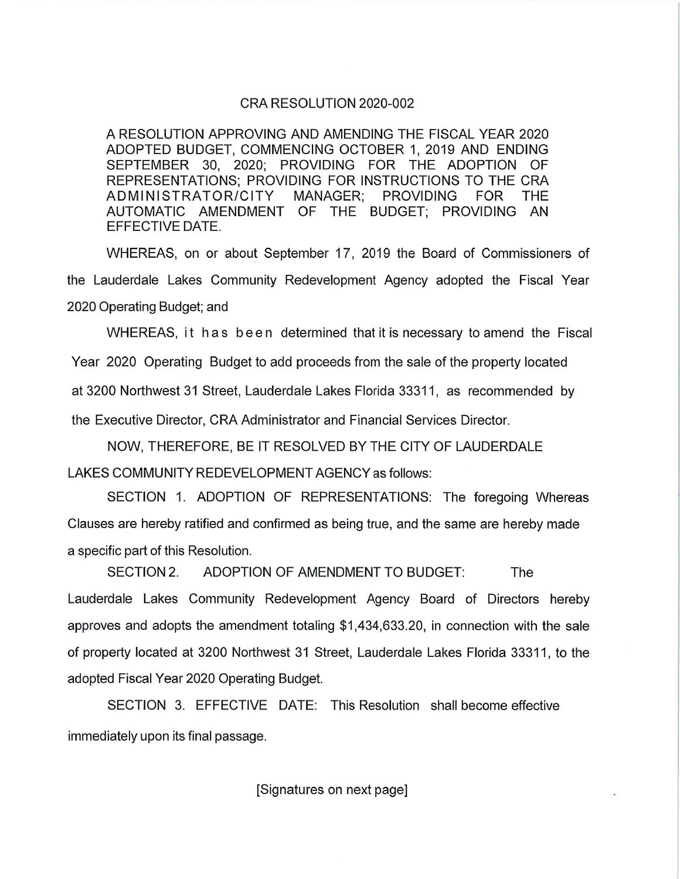### CRA RESOLUTION 2020-002

A RESOLUTION APPROVING AND AMENDING THE FISCAL YEAR 2020 ADOPTED BUDGET, COMMENCING OCTOBER 1, 2019 AND ENDING SEPTEMBER 30, 2020; PROVIDING FOR THE ADOPTION OF REPRESENTATIONS: PROVIDING FOR INSTRUCTIONS TO THE CRA ADMINISTRATOR/CITY **MANAGER: PROVIDING FOR THE** AUTOMATIC AMENDMENT OF THE BUDGET; PROVIDING AN EFFECTIVE DATE.

WHEREAS, on or about September 17, 2019 the Board of Commissioners of the Lauderdale Lakes Community Redevelopment Agency adopted the Fiscal Year 2020 Operating Budget; and

WHEREAS, it has been determined that it is necessary to amend the Fiscal Year 2020 Operating Budget to add proceeds from the sale of the property located at 3200 Northwest 31 Street, Lauderdale Lakes Florida 33311, as recommended by the Executive Director, CRA Administrator and Financial Services Director.

NOW, THEREFORE, BE IT RESOLVED BY THE CITY OF LAUDERDALE LAKES COMMUNITY REDEVELOPMENT AGENCY as follows:

SECTION 1. ADOPTION OF REPRESENTATIONS: The foregoing Whereas Clauses are hereby ratified and confirmed as being true, and the same are hereby made a specific part of this Resolution.

SECTION 2. ADOPTION OF AMENDMENT TO BUDGET: The Lauderdale Lakes Community Redevelopment Agency Board of Directors hereby approves and adopts the amendment totaling \$1,434,633.20, in connection with the sale of property located at 3200 Northwest 31 Street, Lauderdale Lakes Florida 33311, to the adopted Fiscal Year 2020 Operating Budget.

SECTION 3. EFFECTIVE DATE: This Resolution shall become effective immediately upon its final passage.

[Signatures on next page]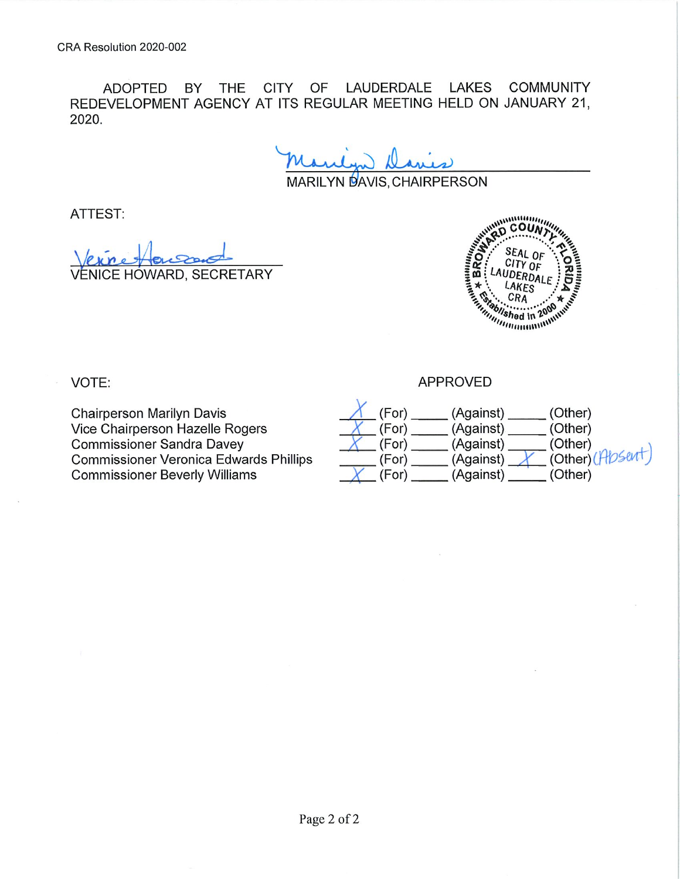ADOPTED BY THE CITY OF LAUDERDALE LAKES **COMMUNITY** REDEVELOPMENT AGENCY AT ITS REGULAR MEETING HELD ON JANUARY 21. 2020.

MARILYN DAVIS, CHAIRPERSON

ATTEST:

**NICE HOWARD, SECRETARY** 



VOTE:

**Chairperson Marilyn Davis** Vice Chairperson Hazelle Rogers **Commissioner Sandra Davey Commissioner Veronica Edwards Phillips Commissioner Beverly Williams** 

**APPROVED**